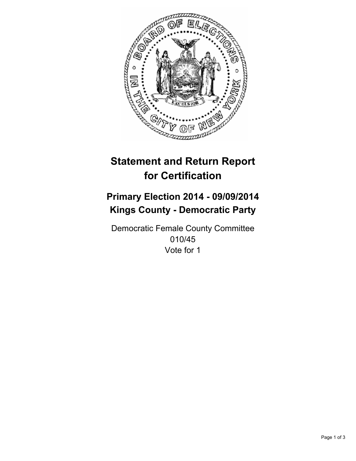

# **Statement and Return Report for Certification**

## **Primary Election 2014 - 09/09/2014 Kings County - Democratic Party**

Democratic Female County Committee 010/45 Vote for 1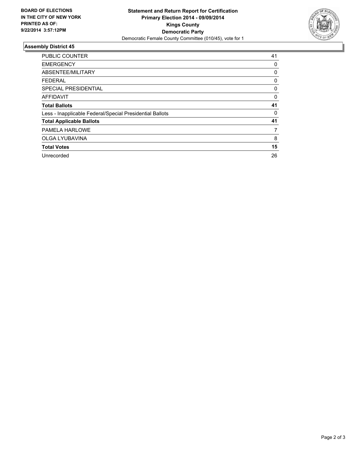

### **Assembly District 45**

| <b>PUBLIC COUNTER</b>                                    | 41          |
|----------------------------------------------------------|-------------|
| <b>EMERGENCY</b>                                         | 0           |
| ABSENTEE/MILITARY                                        | 0           |
| <b>FEDERAL</b>                                           | 0           |
| SPECIAL PRESIDENTIAL                                     | 0           |
| <b>AFFIDAVIT</b>                                         | $\mathbf 0$ |
| <b>Total Ballots</b>                                     | 41          |
| Less - Inapplicable Federal/Special Presidential Ballots | 0           |
| <b>Total Applicable Ballots</b>                          | 41          |
| PAMELA HARLOWE                                           | 7           |
| OLGA LYUBAVINA                                           | 8           |
| <b>Total Votes</b>                                       | 15          |
| Unrecorded                                               | 26          |